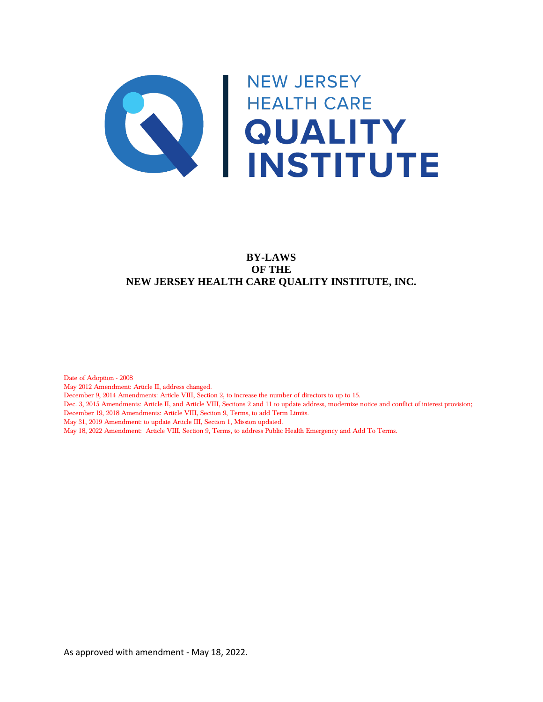

# **BY-LAWS OF THE NEW JERSEY HEALTH CARE QUALITY INSTITUTE, INC.**

Date of Adoption - 2008 May 2012 Amendment: Article II, address changed. December 9, 2014 Amendments: Article VIII, Section 2, to increase the number of directors to up to 15. Dec. 3, 2015 Amendments: Article II, and Article VIII, Sections 2 and 11 to update address, modernize notice and conflict of interest provision; December 19, 2018 Amendments: Article VIII, Section 9, Terms, to add Term Limits. May 31, 2019 Amendment: to update Article III, Section 1, Mission updated. May 18, 2022 Amendment: Article VIII, Section 9, Terms, to address Public Health Emergency and Add To Terms.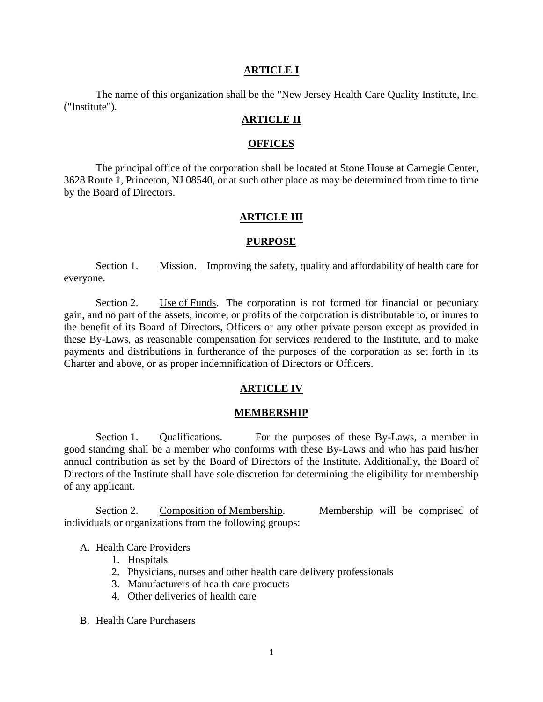#### **ARTICLE I**

The name of this organization shall be the "New Jersey Health Care Quality Institute, Inc. ("Institute").

### **ARTICLE II**

#### **OFFICES**

The principal office of the corporation shall be located at Stone House at Carnegie Center, 3628 Route 1, Princeton, NJ 08540, or at such other place as may be determined from time to time by the Board of Directors.

#### **ARTICLE III**

#### **PURPOSE**

Section 1. Mission. Improving the safety, quality and affordability of health care for everyone.

Section 2. Use of Funds. The corporation is not formed for financial or pecuniary gain, and no part of the assets, income, or profits of the corporation is distributable to, or inures to the benefit of its Board of Directors, Officers or any other private person except as provided in these By-Laws, as reasonable compensation for services rendered to the Institute, and to make payments and distributions in furtherance of the purposes of the corporation as set forth in its Charter and above, or as proper indemnification of Directors or Officers.

#### **ARTICLE IV**

#### **MEMBERSHIP**

Section 1. Qualifications. For the purposes of these By-Laws, a member in good standing shall be a member who conforms with these By-Laws and who has paid his/her annual contribution as set by the Board of Directors of the Institute. Additionally, the Board of Directors of the Institute shall have sole discretion for determining the eligibility for membership of any applicant.

Section 2. Composition of Membership. Membership will be comprised of individuals or organizations from the following groups:

### A. Health Care Providers

- 1. Hospitals
- 2. Physicians, nurses and other health care delivery professionals
- 3. Manufacturers of health care products
- 4. Other deliveries of health care
- B. Health Care Purchasers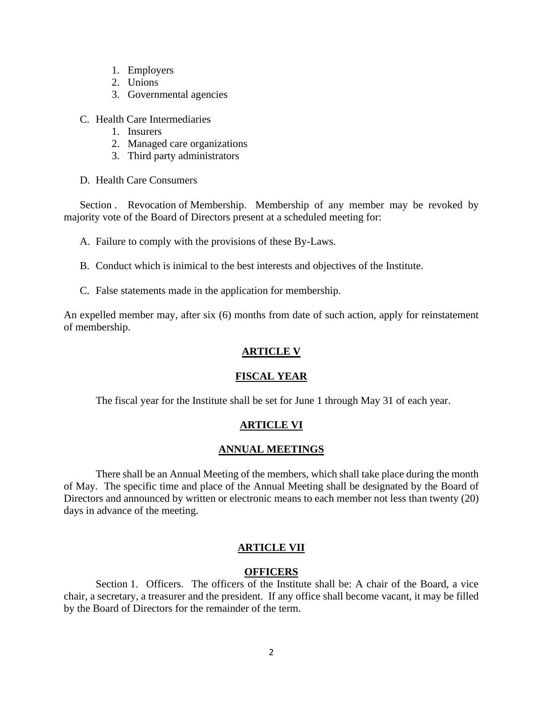- 1. Employers
- 2. Unions
- 3. Governmental agencies
- C. Health Care Intermediaries
	- 1. Insurers
	- 2. Managed care organizations
	- 3. Third party administrators
- D. Health Care Consumers

Section . Revocation of Membership. Membership of any member may be revoked by majority vote of the Board of Directors present at a scheduled meeting for:

- A. Failure to comply with the provisions of these By-Laws.
- B. Conduct which is inimical to the best interests and objectives of the Institute.
- C. False statements made in the application for membership.

An expelled member may, after six (6) months from date of such action, apply for reinstatement of membership.

# **ARTICLE V**

# **FISCAL YEAR**

The fiscal year for the Institute shall be set for June 1 through May 31 of each year.

# **ARTICLE VI**

# **ANNUAL MEETINGS**

There shall be an Annual Meeting of the members, which shall take place during the month of May. The specific time and place of the Annual Meeting shall be designated by the Board of Directors and announced by written or electronic means to each member not less than twenty (20) days in advance of the meeting.

# **ARTICLE VII**

# **OFFICERS**

Section 1. Officers. The officers of the Institute shall be: A chair of the Board, a vice chair, a secretary, a treasurer and the president. If any office shall become vacant, it may be filled by the Board of Directors for the remainder of the term.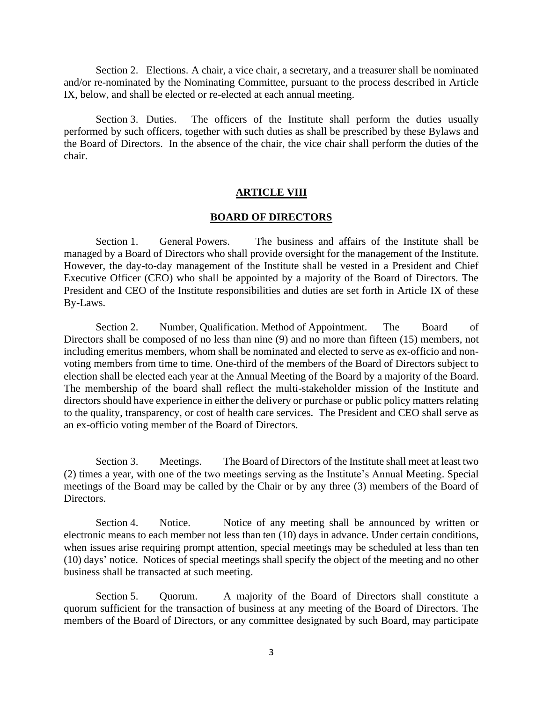Section 2. Elections. A chair, a vice chair, a secretary, and a treasurer shall be nominated and/or re-nominated by the Nominating Committee, pursuant to the process described in Article IX, below, and shall be elected or re-elected at each annual meeting.

Section 3. Duties. The officers of the Institute shall perform the duties usually performed by such officers, together with such duties as shall be prescribed by these Bylaws and the Board of Directors. In the absence of the chair, the vice chair shall perform the duties of the chair.

#### **ARTICLE VIII**

#### **BOARD OF DIRECTORS**

Section 1. General Powers. The business and affairs of the Institute shall be managed by a Board of Directors who shall provide oversight for the management of the Institute. However, the day-to-day management of the Institute shall be vested in a President and Chief Executive Officer (CEO) who shall be appointed by a majority of the Board of Directors. The President and CEO of the Institute responsibilities and duties are set forth in Article IX of these By-Laws.

Section 2. Number, Qualification. Method of Appointment. The Board of Directors shall be composed of no less than nine (9) and no more than fifteen (15) members, not including emeritus members, whom shall be nominated and elected to serve as ex-officio and nonvoting members from time to time. One-third of the members of the Board of Directors subject to election shall be elected each year at the Annual Meeting of the Board by a majority of the Board. The membership of the board shall reflect the multi-stakeholder mission of the Institute and directors should have experience in either the delivery or purchase or public policy matters relating to the quality, transparency, or cost of health care services. The President and CEO shall serve as an ex-officio voting member of the Board of Directors.

Section 3. Meetings. The Board of Directors of the Institute shall meet at least two (2) times a year, with one of the two meetings serving as the Institute's Annual Meeting. Special meetings of the Board may be called by the Chair or by any three (3) members of the Board of Directors.

Section 4. Notice. Notice of any meeting shall be announced by written or electronic means to each member not less than ten (10) days in advance. Under certain conditions, when issues arise requiring prompt attention, special meetings may be scheduled at less than ten (10) days' notice. Notices of special meetings shall specify the object of the meeting and no other business shall be transacted at such meeting.

Section 5. Quorum. A majority of the Board of Directors shall constitute a quorum sufficient for the transaction of business at any meeting of the Board of Directors. The members of the Board of Directors, or any committee designated by such Board, may participate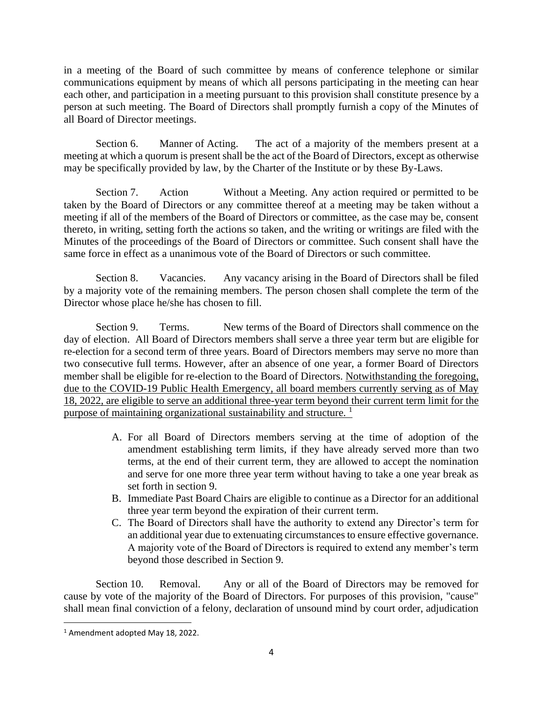in a meeting of the Board of such committee by means of conference telephone or similar communications equipment by means of which all persons participating in the meeting can hear each other, and participation in a meeting pursuant to this provision shall constitute presence by a person at such meeting. The Board of Directors shall promptly furnish a copy of the Minutes of all Board of Director meetings.

Section 6. Manner of Acting. The act of a majority of the members present at a meeting at which a quorum is present shall be the act of the Board of Directors, except as otherwise may be specifically provided by law, by the Charter of the Institute or by these By-Laws.

Section 7. Action Without a Meeting. Any action required or permitted to be taken by the Board of Directors or any committee thereof at a meeting may be taken without a meeting if all of the members of the Board of Directors or committee, as the case may be, consent thereto, in writing, setting forth the actions so taken, and the writing or writings are filed with the Minutes of the proceedings of the Board of Directors or committee. Such consent shall have the same force in effect as a unanimous vote of the Board of Directors or such committee.

Section 8. Vacancies. Any vacancy arising in the Board of Directors shall be filed by a majority vote of the remaining members. The person chosen shall complete the term of the Director whose place he/she has chosen to fill.

Section 9. Terms. New terms of the Board of Directors shall commence on the day of election. All Board of Directors members shall serve a three year term but are eligible for re-election for a second term of three years. Board of Directors members may serve no more than two consecutive full terms. However, after an absence of one year, a former Board of Directors member shall be eligible for re-election to the Board of Directors. Notwithstanding the foregoing, due to the COVID-19 Public Health Emergency, all board members currently serving as of May 18, 2022, are eligible to serve an additional three-year term beyond their current term limit for the purpose of maintaining organizational sustainability and structure.  $\frac{1}{1}$ 

- A. For all Board of Directors members serving at the time of adoption of the amendment establishing term limits, if they have already served more than two terms, at the end of their current term, they are allowed to accept the nomination and serve for one more three year term without having to take a one year break as set forth in section 9.
- B. Immediate Past Board Chairs are eligible to continue as a Director for an additional three year term beyond the expiration of their current term.
- C. The Board of Directors shall have the authority to extend any Director's term for an additional year due to extenuating circumstances to ensure effective governance. A majority vote of the Board of Directors is required to extend any member's term beyond those described in Section 9.

Section 10. Removal. Any or all of the Board of Directors may be removed for cause by vote of the majority of the Board of Directors. For purposes of this provision, "cause" shall mean final conviction of a felony, declaration of unsound mind by court order, adjudication

<sup>1</sup> Amendment adopted May 18, 2022.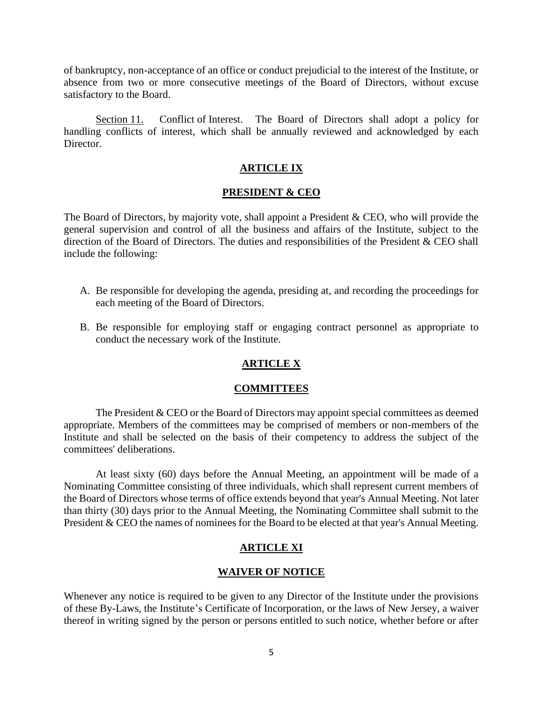of bankruptcy, non-acceptance of an office or conduct prejudicial to the interest of the Institute, or absence from two or more consecutive meetings of the Board of Directors, without excuse satisfactory to the Board.

Section 11. Conflict of Interest. The Board of Directors shall adopt a policy for handling conflicts of interest, which shall be annually reviewed and acknowledged by each Director.

# **ARTICLE IX**

#### **PRESIDENT & CEO**

The Board of Directors, by majority vote, shall appoint a President & CEO, who will provide the general supervision and control of all the business and affairs of the Institute, subject to the direction of the Board of Directors. The duties and responsibilities of the President & CEO shall include the following:

- A. Be responsible for developing the agenda, presiding at, and recording the proceedings for each meeting of the Board of Directors.
- B. Be responsible for employing staff or engaging contract personnel as appropriate to conduct the necessary work of the Institute.

### **ARTICLE X**

#### **COMMITTEES**

The President & CEO or the Board of Directors may appoint special committees as deemed appropriate. Members of the committees may be comprised of members or non-members of the Institute and shall be selected on the basis of their competency to address the subject of the committees' deliberations.

At least sixty (60) days before the Annual Meeting, an appointment will be made of a Nominating Committee consisting of three individuals, which shall represent current members of the Board of Directors whose terms of office extends beyond that year's Annual Meeting. Not later than thirty (30) days prior to the Annual Meeting, the Nominating Committee shall submit to the President & CEO the names of nominees for the Board to be elected at that year's Annual Meeting.

# **ARTICLE XI**

### **WAIVER OF NOTICE**

Whenever any notice is required to be given to any Director of the Institute under the provisions of these By-Laws, the Institute's Certificate of Incorporation, or the laws of New Jersey, a waiver thereof in writing signed by the person or persons entitled to such notice, whether before or after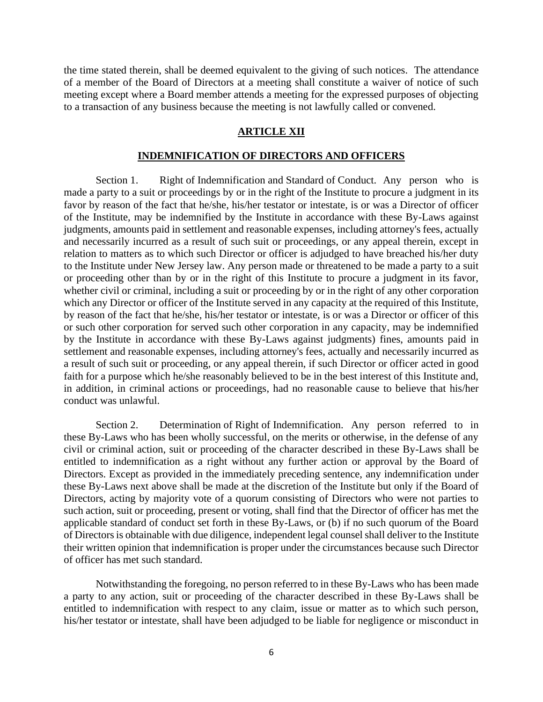the time stated therein, shall be deemed equivalent to the giving of such notices. The attendance of a member of the Board of Directors at a meeting shall constitute a waiver of notice of such meeting except where a Board member attends a meeting for the expressed purposes of objecting to a transaction of any business because the meeting is not lawfully called or convened.

# **ARTICLE XII**

# **INDEMNIFICATION OF DIRECTORS AND OFFICERS**

Section 1. Right of Indemnification and Standard of Conduct. Any person who is made a party to a suit or proceedings by or in the right of the Institute to procure a judgment in its favor by reason of the fact that he/she, his/her testator or intestate, is or was a Director of officer of the Institute, may be indemnified by the Institute in accordance with these By-Laws against judgments, amounts paid in settlement and reasonable expenses, including attorney's fees, actually and necessarily incurred as a result of such suit or proceedings, or any appeal therein, except in relation to matters as to which such Director or officer is adjudged to have breached his/her duty to the Institute under New Jersey law. Any person made or threatened to be made a party to a suit or proceeding other than by or in the right of this Institute to procure a judgment in its favor, whether civil or criminal, including a suit or proceeding by or in the right of any other corporation which any Director or officer of the Institute served in any capacity at the required of this Institute, by reason of the fact that he/she, his/her testator or intestate, is or was a Director or officer of this or such other corporation for served such other corporation in any capacity, may be indemnified by the Institute in accordance with these By-Laws against judgments) fines, amounts paid in settlement and reasonable expenses, including attorney's fees, actually and necessarily incurred as a result of such suit or proceeding, or any appeal therein, if such Director or officer acted in good faith for a purpose which he/she reasonably believed to be in the best interest of this Institute and, in addition, in criminal actions or proceedings, had no reasonable cause to believe that his/her conduct was unlawful.

Section 2. Determination of Right of Indemnification. Any person referred to in these By-Laws who has been wholly successful, on the merits or otherwise, in the defense of any civil or criminal action, suit or proceeding of the character described in these By-Laws shall be entitled to indemnification as a right without any further action or approval by the Board of Directors. Except as provided in the immediately preceding sentence, any indemnification under these By-Laws next above shall be made at the discretion of the Institute but only if the Board of Directors, acting by majority vote of a quorum consisting of Directors who were not parties to such action, suit or proceeding, present or voting, shall find that the Director of officer has met the applicable standard of conduct set forth in these By-Laws, or (b) if no such quorum of the Board of Directors is obtainable with due diligence, independent legal counsel shall deliver to the Institute their written opinion that indemnification is proper under the circumstances because such Director of officer has met such standard.

Notwithstanding the foregoing, no person referred to in these By-Laws who has been made a party to any action, suit or proceeding of the character described in these By-Laws shall be entitled to indemnification with respect to any claim, issue or matter as to which such person, his/her testator or intestate, shall have been adjudged to be liable for negligence or misconduct in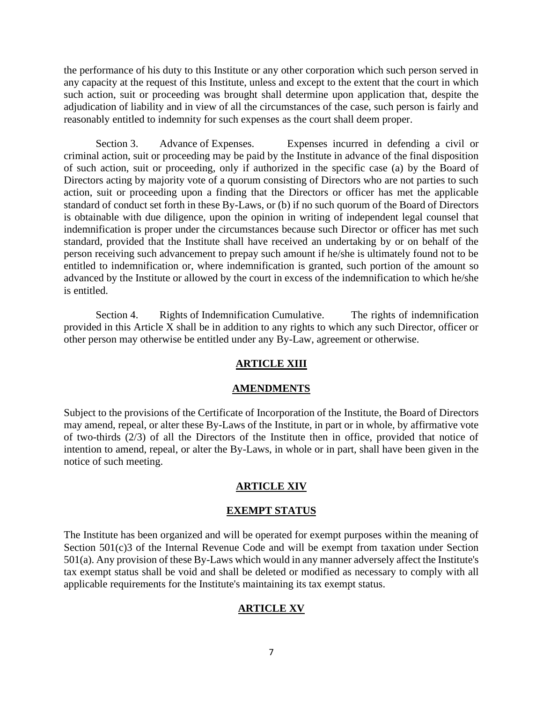the performance of his duty to this Institute or any other corporation which such person served in any capacity at the request of this Institute, unless and except to the extent that the court in which such action, suit or proceeding was brought shall determine upon application that, despite the adjudication of liability and in view of all the circumstances of the case, such person is fairly and reasonably entitled to indemnity for such expenses as the court shall deem proper.

Section 3. Advance of Expenses. Expenses incurred in defending a civil or criminal action, suit or proceeding may be paid by the Institute in advance of the final disposition of such action, suit or proceeding, only if authorized in the specific case (a) by the Board of Directors acting by majority vote of a quorum consisting of Directors who are not parties to such action, suit or proceeding upon a finding that the Directors or officer has met the applicable standard of conduct set forth in these By-Laws, or (b) if no such quorum of the Board of Directors is obtainable with due diligence, upon the opinion in writing of independent legal counsel that indemnification is proper under the circumstances because such Director or officer has met such standard, provided that the Institute shall have received an undertaking by or on behalf of the person receiving such advancement to prepay such amount if he/she is ultimately found not to be entitled to indemnification or, where indemnification is granted, such portion of the amount so advanced by the Institute or allowed by the court in excess of the indemnification to which he/she is entitled.

Section 4. Rights of Indemnification Cumulative. The rights of indemnification provided in this Article X shall be in addition to any rights to which any such Director, officer or other person may otherwise be entitled under any By-Law, agreement or otherwise.

### **ARTICLE XIII**

#### **AMENDMENTS**

Subject to the provisions of the Certificate of Incorporation of the Institute, the Board of Directors may amend, repeal, or alter these By-Laws of the Institute, in part or in whole, by affirmative vote of two-thirds (2/3) of all the Directors of the Institute then in office, provided that notice of intention to amend, repeal, or alter the By-Laws, in whole or in part, shall have been given in the notice of such meeting.

#### **ARTICLE XIV**

#### **EXEMPT STATUS**

The Institute has been organized and will be operated for exempt purposes within the meaning of Section 501(c)3 of the Internal Revenue Code and will be exempt from taxation under Section 501(a). Any provision of these By-Laws which would in any manner adversely affect the Institute's tax exempt status shall be void and shall be deleted or modified as necessary to comply with all applicable requirements for the Institute's maintaining its tax exempt status.

### **ARTICLE XV**